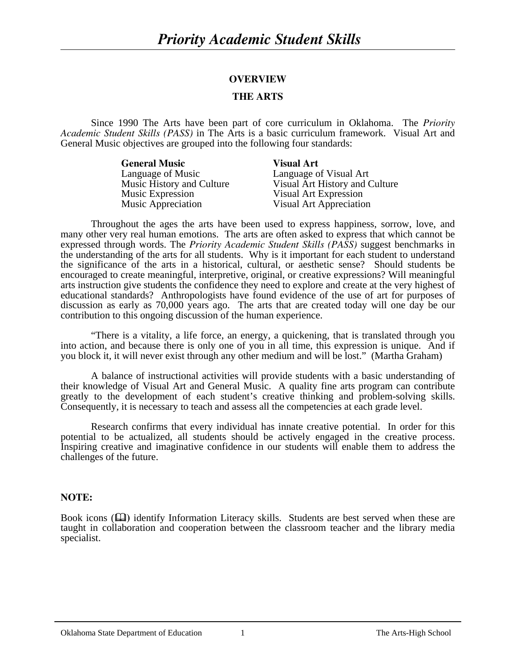### **OVERVIEW**

#### **THE ARTS**

Since 1990 The Arts have been part of core curriculum in Oklahoma. The *Priority Academic Student Skills (PASS)* in The Arts is a basic curriculum framework. Visual Art and General Music objectives are grouped into the following four standards:

| <b>General Music</b>      | <b>Visual Art</b>              |
|---------------------------|--------------------------------|
| Language of Music         | Language of Visual Art         |
| Music History and Culture | Visual Art History and Culture |
| Music Expression          | Visual Art Expression          |
| Music Appreciation        | Visual Art Appreciation        |

Throughout the ages the arts have been used to express happiness, sorrow, love, and many other very real human emotions. The arts are often asked to express that which cannot be expressed through words. The *Priority Academic Student Skills (PASS)* suggest benchmarks in the understanding of the arts for all students. Why is it important for each student to understand the significance of the arts in a historical, cultural, or aesthetic sense? Should students be encouraged to create meaningful, interpretive, original, or creative expressions? Will meaningful arts instruction give students the confidence they need to explore and create at the very highest of educational standards? Anthropologists have found evidence of the use of art for purposes of discussion as early as 70,000 years ago. The arts that are created today will one day be our contribution to this ongoing discussion of the human experience.

"There is a vitality, a life force, an energy, a quickening, that is translated through you into action, and because there is only one of you in all time, this expression is unique. And if you block it, it will never exist through any other medium and will be lost." (Martha Graham)

 A balance of instructional activities will provide students with a basic understanding of their knowledge of Visual Art and General Music. A quality fine arts program can contribute greatly to the development of each student's creative thinking and problem-solving skills. Consequently, it is necessary to teach and assess all the competencies at each grade level.

 Research confirms that every individual has innate creative potential. In order for this potential to be actualized, all students should be actively engaged in the creative process. Inspiring creative and imaginative confidence in our students will enable them to address the challenges of the future.

#### **NOTE:**

Book icons ( $\Box$ ) identify Information Literacy skills. Students are best served when these are taught in collaboration and cooperation between the classroom teacher and the library media specialist.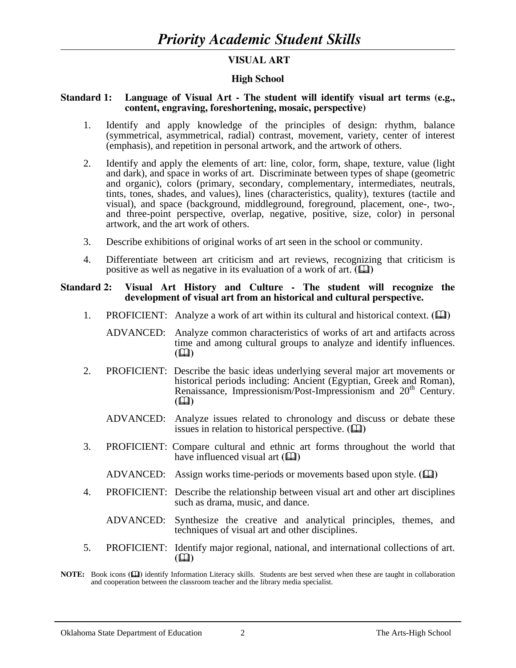## **VISUAL ART**

### **High School**

#### **Standard 1: Language of Visual Art - The student will identify visual art terms (e.g., content, engraving, foreshortening, mosaic, perspective)**

- 1. Identify and apply knowledge of the principles of design: rhythm, balance (symmetrical, asymmetrical, radial) contrast, movement, variety, center of interest (emphasis), and repetition in personal artwork, and the artwork of others.
- 2. Identify and apply the elements of art: line, color, form, shape, texture, value (light and dark), and space in works of art. Discriminate between types of shape (geometric and organic), colors (primary, secondary, complementary, intermediates, neutrals, tints, tones, shades, and values), lines (characteristics, quality), textures (tactile and visual), and space (background, middleground, foreground, placement, one-, two-, and three-point perspective, overlap, negative, positive, size, color) in personal artwork, and the art work of others.
- 3. Describe exhibitions of original works of art seen in the school or community.
- 4. Differentiate between art criticism and art reviews, recognizing that criticism is positive as well as negative in its evaluation of a work of art.  $(\Box)$

#### **Standard 2: Visual Art History and Culture - The student will recognize the development of visual art from an historical and cultural perspective.**

1. PROFICIENT: Analyze a work of art within its cultural and historical context.  $(\Box)$ 

 ADVANCED: Analyze common characteristics of works of art and artifacts across time and among cultural groups to analyze and identify influences.<br>( $\square$ )  $(\Box)$ 

- 2. PROFICIENT: Describe the basic ideas underlying several major art movements or historical periods including: Ancient (Egyptian, Greek and Roman), Renaissance, Impressionism/Post-Impressionism and 20<sup>th</sup> Century.  $(\Box)$ 
	- ADVANCED: Analyze issues related to chronology and discuss or debate these issues in relation to historical perspective.  $(\Box)$
- 3. PROFICIENT: Compare cultural and ethnic art forms throughout the world that have influenced visual art  $(\Box)$ 
	- ADVANCED: Assign works time-periods or movements based upon style.  $(\mathbf{\mathbf{\square}})$
- 4. PROFICIENT: Describe the relationship between visual art and other art disciplines such as drama, music, and dance.
	- ADVANCED: Synthesize the creative and analytical principles, themes, and techniques of visual art and other disciplines.
- 5. PROFICIENT: Identify major regional, national, and international collections of art.  $(\Box)$

**NOTE:** Book icons **( )** identify Information Literacy skills. Students are best served when these are taught in collaboration and cooperation between the classroom teacher and the library media specialist.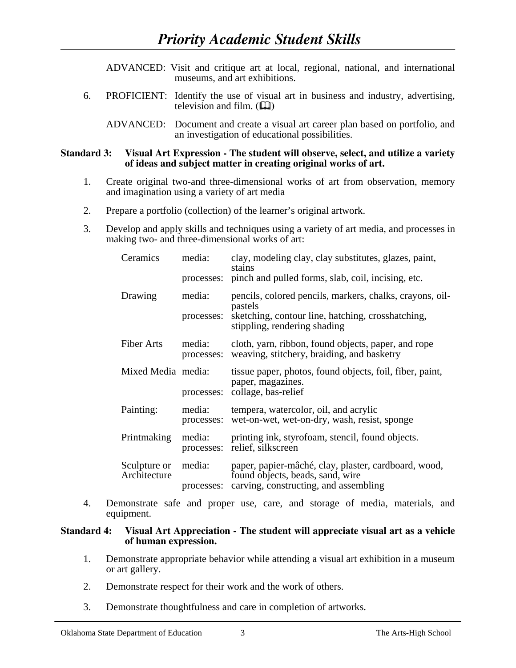ADVANCED: Visit and critique art at local, regional, national, and international museums, and art exhibitions.

 6. PROFICIENT: Identify the use of visual art in business and industry, advertising, television and film.  $(\Box \Box)$ 

 ADVANCED: Document and create a visual art career plan based on portfolio, and an investigation of educational possibilities.

#### **Standard 3: Visual Art Expression - The student will observe, select, and utilize a variety of ideas and subject matter in creating original works of art.**

- 1. Create original two-and three-dimensional works of art from observation, memory and imagination using a variety of art media
- 2. Prepare a portfolio (collection) of the learner's original artwork.
- 3. Develop and apply skills and techniques using a variety of art media, and processes in making two- and three-dimensional works of art:

| Ceramics                     | media:<br>processes: | clay, modeling clay, clay substitutes, glazes, paint,<br>stains<br>pinch and pulled forms, slab, coil, incising, etc.                                    |
|------------------------------|----------------------|----------------------------------------------------------------------------------------------------------------------------------------------------------|
| Drawing                      | media:<br>processes: | pencils, colored pencils, markers, chalks, crayons, oil-<br>pastels<br>sketching, contour line, hatching, crosshatching,<br>stippling, rendering shading |
| <b>Fiber Arts</b>            | media:<br>processes: | cloth, yarn, ribbon, found objects, paper, and rope<br>weaving, stitchery, braiding, and basketry                                                        |
| Mixed Media media:           | processes:           | tissue paper, photos, found objects, foil, fiber, paint,<br>paper, magazines.<br>collage, bas-relief                                                     |
| Painting:                    | media:<br>processes: | tempera, watercolor, oil, and acrylic<br>wet-on-wet, wet-on-dry, wash, resist, sponge                                                                    |
| Printmaking                  | media:<br>processes: | printing ink, styrofoam, stencil, found objects.<br>relief, silkscreen                                                                                   |
| Sculpture or<br>Architecture | media:<br>processes: | paper, papier-mâché, clay, plaster, cardboard, wood,<br>found objects, beads, sand, wire<br>carving, constructing, and assembling                        |

 4. Demonstrate safe and proper use, care, and storage of media, materials, and equipment.

#### **Standard 4: Visual Art Appreciation - The student will appreciate visual art as a vehicle of human expression.**

- 1. Demonstrate appropriate behavior while attending a visual art exhibition in a museum or art gallery.
- 2. Demonstrate respect for their work and the work of others.
- 3. Demonstrate thoughtfulness and care in completion of artworks.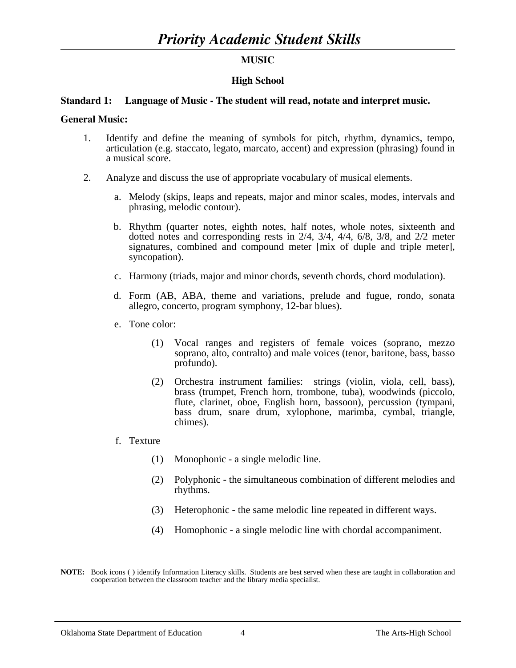## **MUSIC**

### **High School**

#### **Standard 1: Language of Music - The student will read, notate and interpret music.**

#### **General Music:**

- 1. Identify and define the meaning of symbols for pitch, rhythm, dynamics, tempo, articulation (e.g. staccato, legato, marcato, accent) and expression (phrasing) found in a musical score.
- 2. Analyze and discuss the use of appropriate vocabulary of musical elements.
	- a. Melody (skips, leaps and repeats, major and minor scales, modes, intervals and phrasing, melodic contour).
	- b. Rhythm (quarter notes, eighth notes, half notes, whole notes, sixteenth and dotted notes and corresponding rests in 2/4, 3/4, 4/4, 6/8, 3/8, and 2/2 meter signatures, combined and compound meter [mix of duple and triple meter], syncopation).
	- c. Harmony (triads, major and minor chords, seventh chords, chord modulation).
	- d. Form (AB, ABA, theme and variations, prelude and fugue, rondo, sonata allegro, concerto, program symphony, 12-bar blues).
	- e. Tone color:
		- (1) Vocal ranges and registers of female voices (soprano, mezzo soprano, alto, contralto) and male voices (tenor, baritone, bass, basso profundo).
		- (2) Orchestra instrument families: strings (violin, viola, cell, bass), brass (trumpet, French horn, trombone, tuba), woodwinds (piccolo, flute, clarinet, oboe, English horn, bassoon), percussion (tympani, bass drum, snare drum, xylophone, marimba, cymbal, triangle, chimes).
	-
	- f. Texture (1) Monophonic a single melodic line.
		- (2) Polyphonic the simultaneous combination of different melodies and rhythms.
		- (3) Heterophonic the same melodic line repeated in different ways.
		- (4) Homophonic a single melodic line with chordal accompaniment.
- **NOTE:** Book icons **()** identify Information Literacy skills. Students are best served when these are taught in collaboration and cooperation between the classroom teacher and the library media specialist.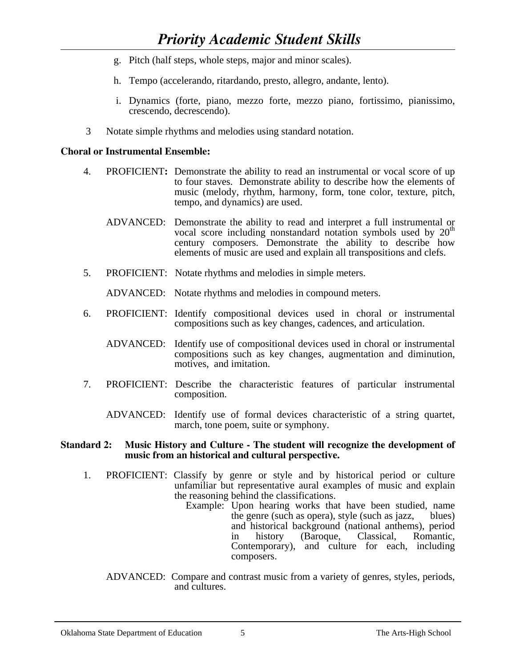- g. Pitch (half steps, whole steps, major and minor scales).
- h. Tempo (accelerando, ritardando, presto, allegro, andante, lento).
- i. Dynamics (forte, piano, mezzo forte, mezzo piano, fortissimo, pianissimo, crescendo, decrescendo).
- 3 Notate simple rhythms and melodies using standard notation.

## **Choral or Instrumental Ensemble:**

- 4. PROFICIENT**:** Demonstrate the ability to read an instrumental or vocal score of up to four staves. Demonstrate ability to describe how the elements of music (melody, rhythm, harmony, form, tone color, texture, pitch, tempo, and dynamics) are used.
- ADVANCED: Demonstrate the ability to read and interpret a full instrumental or vocal score including nonstandard notation symbols used by 20<sup>th</sup> century composers. Demonstrate the ability to describe how elements of music are used and explain all transpositions and clefs.<br>5. PROFICIENT: Notate rhythms and melodies in simple meters.
- 

ADVANCED: Notate rhythms and melodies in compound meters.

- 6. PROFICIENT: Identify compositional devices used in choral or instrumental compositions such as key changes, cadences, and articulation.
	- ADVANCED: Identify use of compositional devices used in choral or instrumental compositions such as key changes, augmentation and diminution, motives, and imitation.
- 7. PROFICIENT: Describe the characteristic features of particular instrumental composition.
	- ADVANCED: Identify use of formal devices characteristic of a string quartet, march, tone poem, suite or symphony.

#### **Standard 2: Music History and Culture - The student will recognize the development of music from an historical and cultural perspective.**

- 1. PROFICIENT: Classify by genre or style and by historical period or culture unfamiliar but representative aural examples of music and explain the reasoning behind the classifications.
	- Example: Upon hearing works that have been studied, name the genre (such as opera), style (such as jazz, blues) and historical background (national anthems), period in history (Baroque, Classical, Romantic, Contemporary), and culture for each, including composers.
	- ADVANCED: Compare and contrast music from a variety of genres, styles, periods, and cultures.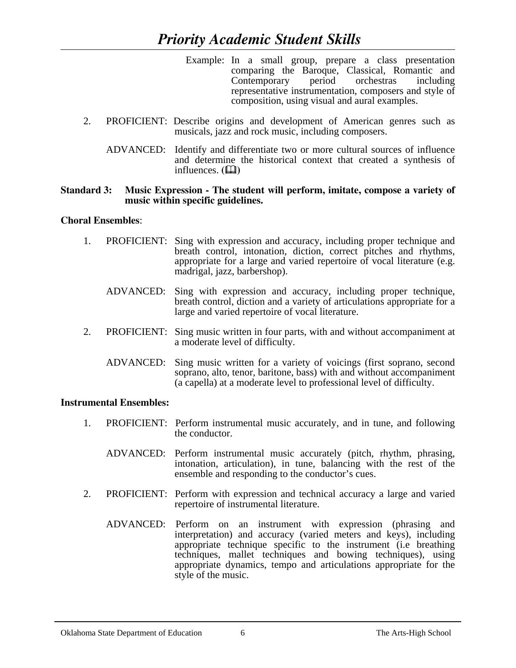- Example: In a small group, prepare a class presentation comparing the Baroque, Classical, Romantic and Contemporary period orchestras including representative instrumentation, composers and style of composition, using visual and aural examples.
- 2. PROFICIENT: Describe origins and development of American genres such as musicals, jazz and rock music, including composers.
	- ADVANCED: Identify and differentiate two or more cultural sources of influence and determine the historical context that created a synthesis of influences.  $(\Box)$

#### **Standard 3: Music Expression - The student will perform, imitate, compose a variety of music within specific guidelines.**

## **Choral Ensembles**:

- 1. PROFICIENT: Sing with expression and accuracy, including proper technique and breath control, intonation, diction, correct pitches and rhythms, appropriate for a large and varied repertoire of vocal literature (e.g. madrigal, jazz, barbershop).
	- ADVANCED: Sing with expression and accuracy, including proper technique, breath control, diction and a variety of articulations appropriate for a large and varied repertoire of vocal literature.
- 2. PROFICIENT: Sing music written in four parts, with and without accompaniment at a moderate level of difficulty.
	- ADVANCED: Sing music written for a variety of voicings (first soprano, second soprano, alto, tenor, baritone, bass) with and without accompaniment (a capella) at a moderate level to professional level of difficulty.

### **Instrumental Ensembles:**

- 1. PROFICIENT: Perform instrumental music accurately, and in tune, and following the conductor.
	- ADVANCED: Perform instrumental music accurately (pitch, rhythm, phrasing, intonation, articulation), in tune, balancing with the rest of the ensemble and responding to the conductor's cues.
- 2. PROFICIENT: Perform with expression and technical accuracy a large and varied repertoire of instrumental literature.
	- ADVANCED: Perform on an instrument with expression (phrasing and interpretation) and accuracy (varied meters and keys), including appropriate technique specific to the instrument (i.e breathing techniques, mallet techniques and bowing techniques), using appropriate dynamics, tempo and articulations appropriate for the style of the music.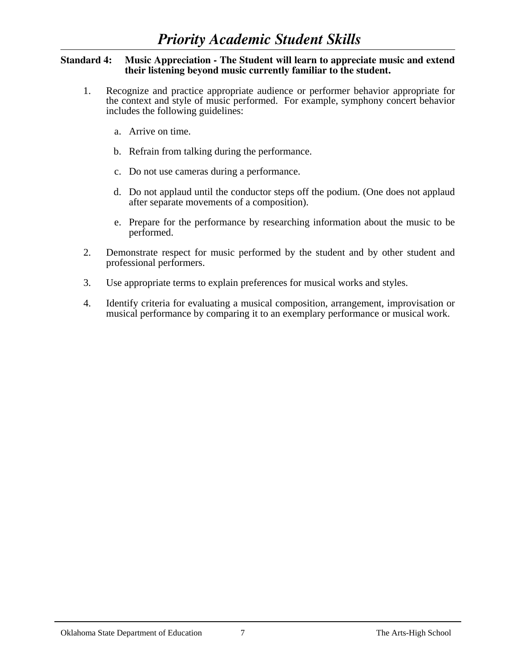#### **Standard 4: Music Appreciation - The Student will learn to appreciate music and extend their listening beyond music currently familiar to the student.**

- 1. Recognize and practice appropriate audience or performer behavior appropriate for the context and style of music performed. For example, symphony concert behavior includes the following guidelines:
	- a. Arrive on time.
	- b. Refrain from talking during the performance.
	- c. Do not use cameras during a performance.
	- d. Do not applaud until the conductor steps off the podium. (One does not applaud after separate movements of a composition).
	- e. Prepare for the performance by researching information about the music to be performed.
- 2. Demonstrate respect for music performed by the student and by other student and professional performers.
- 3. Use appropriate terms to explain preferences for musical works and styles.
- 4. Identify criteria for evaluating a musical composition, arrangement, improvisation or musical performance by comparing it to an exemplary performance or musical work.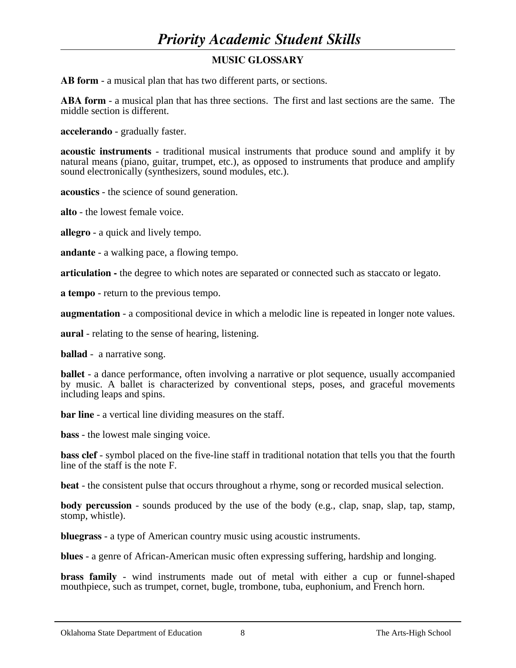# **MUSIC GLOSSARY**

**AB form** - a musical plan that has two different parts, or sections.

**ABA form** - a musical plan that has three sections. The first and last sections are the same. The middle section is different.

**accelerando** - gradually faster.

**acoustic instruments** - traditional musical instruments that produce sound and amplify it by natural means (piano, guitar, trumpet, etc.), as opposed to instruments that produce and amplify sound electronically (synthesizers, sound modules, etc.).

**acoustics** - the science of sound generation.

**alto** - the lowest female voice.

**allegro** - a quick and lively tempo.

**andante** - a walking pace, a flowing tempo.

**articulation -** the degree to which notes are separated or connected such as staccato or legato.

**a tempo** - return to the previous tempo.

**augmentation** - a compositional device in which a melodic line is repeated in longer note values.

**aural** - relating to the sense of hearing, listening.

**ballad** - a narrative song.

**ballet** - a dance performance, often involving a narrative or plot sequence, usually accompanied by music. A ballet is characterized by conventional steps, poses, and graceful movements including leaps and spins.

**bar line** - a vertical line dividing measures on the staff.

**bass** - the lowest male singing voice.

**bass clef** - symbol placed on the five-line staff in traditional notation that tells you that the fourth line of the staff is the note F.

**beat** - the consistent pulse that occurs throughout a rhyme, song or recorded musical selection.

**body percussion** - sounds produced by the use of the body (e.g., clap, snap, slap, tap, stamp, stomp, whistle).

**bluegrass** - a type of American country music using acoustic instruments.

**blues** - a genre of African-American music often expressing suffering, hardship and longing.

**brass family** - wind instruments made out of metal with either a cup or funnel-shaped mouthpiece, such as trumpet, cornet, bugle, trombone, tuba, euphonium, and French horn.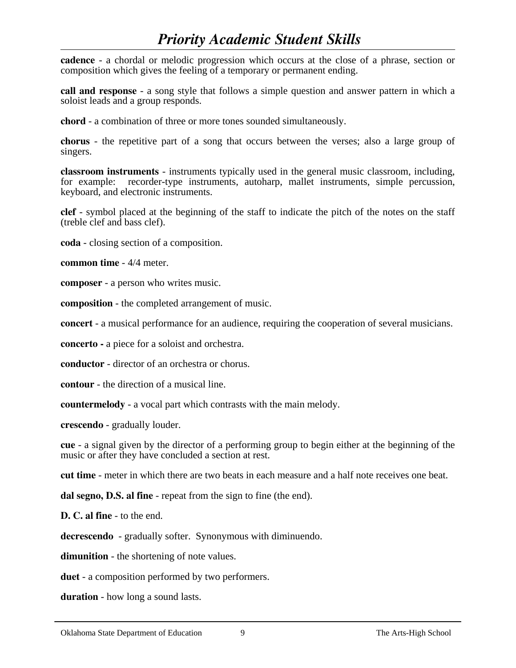**cadence** - a chordal or melodic progression which occurs at the close of a phrase, section or composition which gives the feeling of a temporary or permanent ending.

**call and response** - a song style that follows a simple question and answer pattern in which a soloist leads and a group responds.

**chord** - a combination of three or more tones sounded simultaneously.

**chorus** - the repetitive part of a song that occurs between the verses; also a large group of singers.

**classroom instruments** - instruments typically used in the general music classroom, including, for example: recorder-type instruments, autoharp, mallet instruments, simple percussion, keyboard, and electronic instruments.

**clef** - symbol placed at the beginning of the staff to indicate the pitch of the notes on the staff (treble clef and bass clef).

**coda** - closing section of a composition.

**common time** - 4/4 meter.

**composer** - a person who writes music.

**composition** - the completed arrangement of music.

**concert** - a musical performance for an audience, requiring the cooperation of several musicians.

**concerto -** a piece for a soloist and orchestra.

**conductor** - director of an orchestra or chorus.

**contour** - the direction of a musical line.

**countermelody** - a vocal part which contrasts with the main melody.

**crescendo** - gradually louder.

**cue** - a signal given by the director of a performing group to begin either at the beginning of the music or after they have concluded a section at rest.

**cut time** - meter in which there are two beats in each measure and a half note receives one beat.

**dal segno, D.S. al fine** - repeat from the sign to fine (the end).

**D. C. al fine** - to the end.

**decrescendo** - gradually softer. Synonymous with diminuendo.

**dimunition** - the shortening of note values.

**duet** - a composition performed by two performers.

**duration** - how long a sound lasts.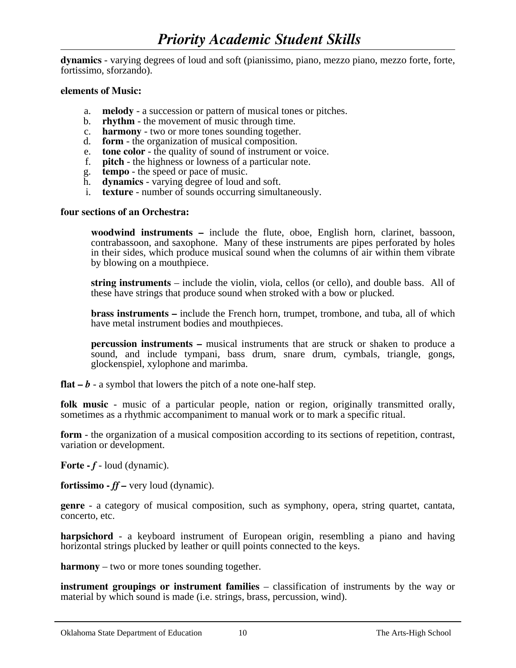**dynamics** - varying degrees of loud and soft (pianissimo, piano, mezzo piano, mezzo forte, forte, fortissimo, sforzando).

#### **elements of Music:**

- a. **melody** a succession or pattern of musical tones or pitches. b. **rhythm** the movement of music through time. c. **harmony** two or more tones sounding together.
- 
- 
- d. **form** the organization of musical composition.
- e. **tone color**  the quality of sound of instrument or voice.
- f. **pitch** the highness or lowness of a particular note.
- g. **tempo** the speed or pace of music.
- h. **dynamics** varying degree of loud and soft.
- i. **texture** number of sounds occurring simultaneously.

#### **four sections of an Orchestra:**

**woodwind instruments –** include the flute, oboe, English horn, clarinet, bassoon, contrabassoon, and saxophone. Many of these instruments are pipes perforated by holes in their sides, which produce musical sound when the columns of air within them vibrate by blowing on a mouthpiece.

**string instruments** – include the violin, viola, cellos (or cello), and double bass. All of these have strings that produce sound when stroked with a bow or plucked.

**brass instruments** – include the French horn, trumpet, trombone, and tuba, all of which have metal instrument bodies and mouthpieces.

**percussion instruments –** musical instruments that are struck or shaken to produce a sound, and include tympani, bass drum, snare drum, cymbals, triangle, gongs, glockenspiel, xylophone and marimba.

**flat**  $-b$  - a symbol that lowers the pitch of a note one-half step.

**folk music** - music of a particular people, nation or region, originally transmitted orally, sometimes as a rhythmic accompaniment to manual work or to mark a specific ritual.

**form** - the organization of a musical composition according to its sections of repetition, contrast, variation or development.

**Forte** -  $f$  - loud (dynamic).

**fortissimo -** *ff –* very loud (dynamic).

**genre** - a category of musical composition, such as symphony, opera, string quartet, cantata, concerto, etc.

**harpsichord** - a keyboard instrument of European origin, resembling a piano and having horizontal strings plucked by leather or quill points connected to the keys.

**harmony** – two or more tones sounding together.

**instrument groupings or instrument families** – classification of instruments by the way or material by which sound is made (i.e. strings, brass, percussion, wind).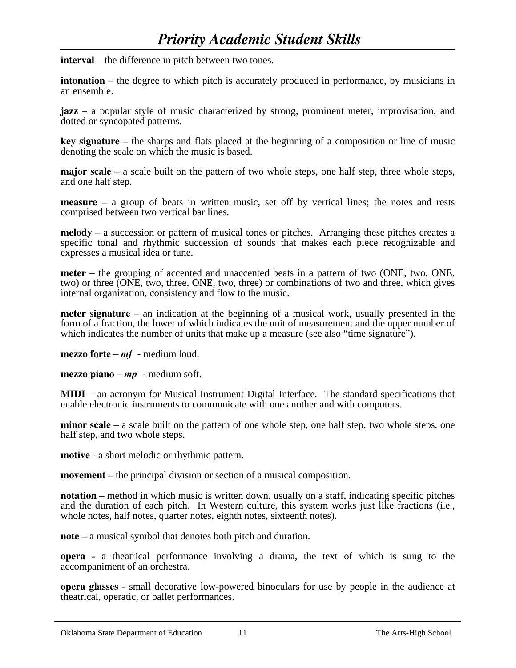**interval** – the difference in pitch between two tones.

**intonation** – the degree to which pitch is accurately produced in performance, by musicians in an ensemble.

**jazz** – a popular style of music characterized by strong, prominent meter, improvisation, and dotted or syncopated patterns.

**key signature** – the sharps and flats placed at the beginning of a composition or line of music denoting the scale on which the music is based.

**major scale** – a scale built on the pattern of two whole steps, one half step, three whole steps, and one half step.

**measure** – a group of beats in written music, set off by vertical lines; the notes and rests comprised between two vertical bar lines.

**melody** – a succession or pattern of musical tones or pitches. Arranging these pitches creates a specific tonal and rhythmic succession of sounds that makes each piece recognizable and expresses a musical idea or tune.

**meter** – the grouping of accented and unaccented beats in a pattern of two (ONE, two, ONE, two) or three (ONE, two, three, ONE, two, three) or combinations of two and three, which gives internal organization, consistency and flow to the music.

**meter signature** – an indication at the beginning of a musical work, usually presented in the form of a fraction, the lower of which indicates the unit of measurement and the upper number of which indicates the number of units that make up a measure (see also "time signature").

**mezzo forte** – *mf* - medium loud.

**mezzo piano –** *mp* - medium soft.

**MIDI** – an acronym for Musical Instrument Digital Interface. The standard specifications that enable electronic instruments to communicate with one another and with computers.

**minor scale** – a scale built on the pattern of one whole step, one half step, two whole steps, one half step, and two whole steps.

**motive** - a short melodic or rhythmic pattern.

**movement** – the principal division or section of a musical composition.

**notation** – method in which music is written down, usually on a staff, indicating specific pitches and the duration of each pitch. In Western culture, this system works just like fractions (i.e., whole notes, half notes, quarter notes, eighth notes, sixteenth notes).

**note** – a musical symbol that denotes both pitch and duration.

**opera** - a theatrical performance involving a drama, the text of which is sung to the accompaniment of an orchestra.

**opera glasses** - small decorative low-powered binoculars for use by people in the audience at theatrical, operatic, or ballet performances.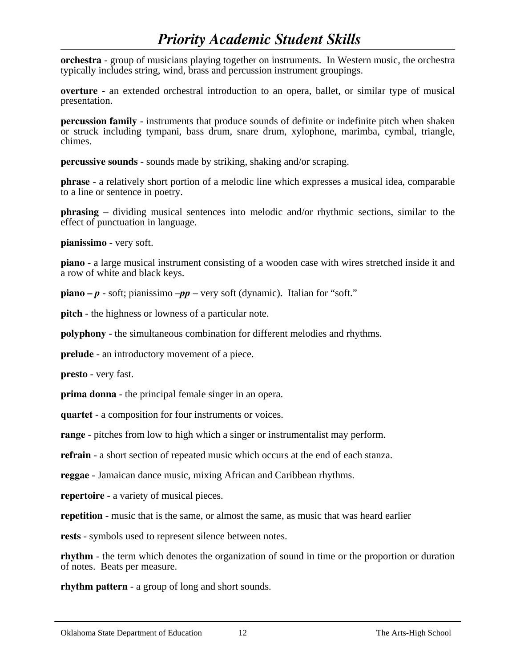**orchestra** - group of musicians playing together on instruments. In Western music, the orchestra typically includes string, wind, brass and percussion instrument groupings.

**overture** - an extended orchestral introduction to an opera, ballet, or similar type of musical presentation.

**percussion family** - instruments that produce sounds of definite or indefinite pitch when shaken or struck including tympani, bass drum, snare drum, xylophone, marimba, cymbal, triangle, chimes.

**percussive sounds** - sounds made by striking, shaking and/or scraping.

**phrase** - a relatively short portion of a melodic line which expresses a musical idea, comparable to a line or sentence in poetry.

**phrasing** – dividing musical sentences into melodic and/or rhythmic sections, similar to the effect of punctuation in language.

**pianissimo** - very soft.

**piano** - a large musical instrument consisting of a wooden case with wires stretched inside it and a row of white and black keys.

**piano** –  $p$  - soft; pianissimo – $pp$  – very soft (dynamic). Italian for "soft."

**pitch** - the highness or lowness of a particular note.

**polyphony** - the simultaneous combination for different melodies and rhythms.

**prelude** - an introductory movement of a piece.

**presto** - very fast.

**prima donna** - the principal female singer in an opera.

**quartet** - a composition for four instruments or voices.

**range** - pitches from low to high which a singer or instrumentalist may perform.

**refrain** - a short section of repeated music which occurs at the end of each stanza.

**reggae** - Jamaican dance music, mixing African and Caribbean rhythms.

**repertoire** - a variety of musical pieces.

**repetition** - music that is the same, or almost the same, as music that was heard earlier

**rests** - symbols used to represent silence between notes.

**rhythm** - the term which denotes the organization of sound in time or the proportion or duration of notes. Beats per measure.

**rhythm pattern** - a group of long and short sounds.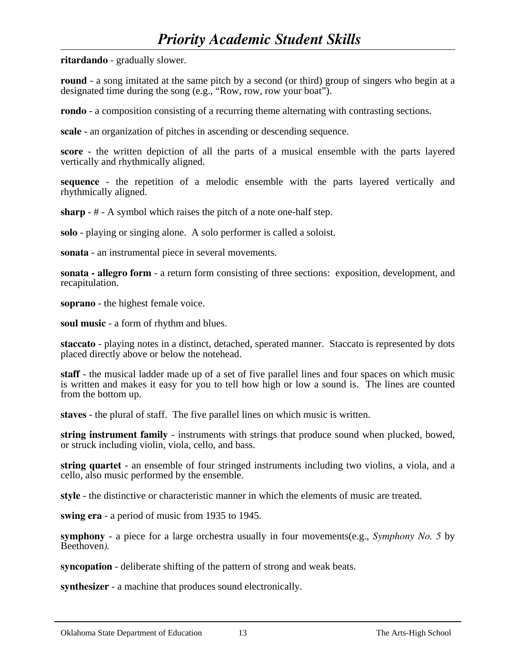**ritardando** - gradually slower.

**round** - a song imitated at the same pitch by a second (or third) group of singers who begin at a designated time during the song (e.g., "Row, row, row your boat").

**rondo** - a composition consisting of a recurring theme alternating with contrasting sections.

**scale** - an organization of pitches in ascending or descending sequence.

**score** - the written depiction of all the parts of a musical ensemble with the parts layered vertically and rhythmically aligned.

**sequence** - the repetition of a melodic ensemble with the parts layered vertically and rhythmically aligned.

**sharp** - # - A symbol which raises the pitch of a note one-half step.

**solo** - playing or singing alone. A solo performer is called a soloist.

**sonata** - an instrumental piece in several movements.

**sonata - allegro form** - a return form consisting of three sections: exposition, development, and recapitulation.

**soprano** - the highest female voice.

**soul music** - a form of rhythm and blues.

**staccato** - playing notes in a distinct, detached, sperated manner. Staccato is represented by dots placed directly above or below the notehead.

**staff** - the musical ladder made up of a set of five parallel lines and four spaces on which music is written and makes it easy for you to tell how high or low a sound is. The lines are counted from the bottom up.

**staves** - the plural of staff. The five parallel lines on which music is written.

**string instrument family** - instruments with strings that produce sound when plucked, bowed, or struck including violin, viola, cello, and bass.

**string quartet** - an ensemble of four stringed instruments including two violins, a viola, and a cello, also music performed by the ensemble.

**style** - the distinctive or characteristic manner in which the elements of music are treated.

**swing era** - a period of music from 1935 to 1945.

**symphony** - a piece for a large orchestra usually in four movements(e.g., *Symphony No. 5* by Beethoven*).*

**syncopation** - deliberate shifting of the pattern of strong and weak beats.

**synthesizer** - a machine that produces sound electronically.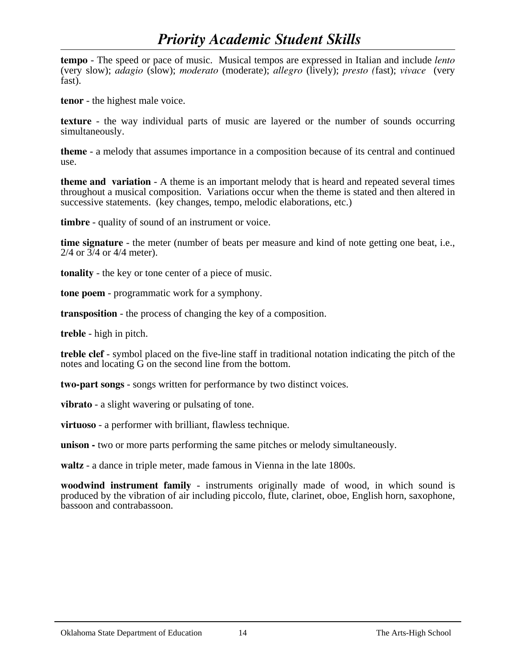**tempo** - The speed or pace of music. Musical tempos are expressed in Italian and include *lento* (very slow); *adagio* (slow); *moderato* (moderate); *allegro* (lively); *presto (*fast); *vivace* (very fast).

**tenor** - the highest male voice.

**texture** - the way individual parts of music are layered or the number of sounds occurring simultaneously.

**theme** - a melody that assumes importance in a composition because of its central and continued use.

**theme and variation** - A theme is an important melody that is heard and repeated several times throughout a musical composition. Variations occur when the theme is stated and then altered in successive statements. (key changes, tempo, melodic elaborations, etc.)

**timbre** - quality of sound of an instrument or voice.

**time signature** - the meter (number of beats per measure and kind of note getting one beat, i.e., 2/4 or 3/4 or 4/4 meter).

**tonality** - the key or tone center of a piece of music.

**tone poem** - programmatic work for a symphony.

**transposition** - the process of changing the key of a composition.

**treble** - high in pitch.

**treble clef** - symbol placed on the five-line staff in traditional notation indicating the pitch of the notes and locating G on the second line from the bottom.

**two-part songs** - songs written for performance by two distinct voices.

**vibrato** - a slight wavering or pulsating of tone.

**virtuoso** - a performer with brilliant, flawless technique.

**unison -** two or more parts performing the same pitches or melody simultaneously.

**waltz** - a dance in triple meter, made famous in Vienna in the late 1800s.

**woodwind instrument family** - instruments originally made of wood, in which sound is produced by the vibration of air including piccolo, flute, clarinet, oboe, English horn, saxophone, bassoon and contrabassoon.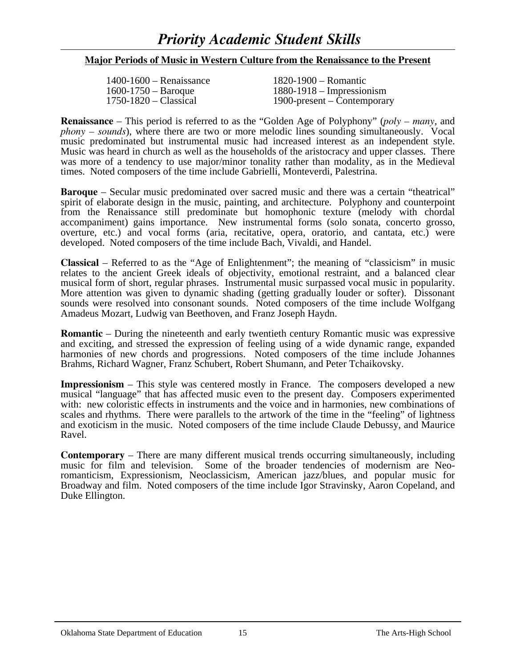### **Major Periods of Music in Western Culture from the Renaissance to the Present**

| $1400 - 1600 -$ Renaissance | $1820 - 1900 -$ Romantic      |
|-----------------------------|-------------------------------|
| $1600 - 1750 - Baroque$     | $1880 - 1918 -$ Impressionism |
| $1750 - 1820 - Classical$   | 1900-present – Contemporary   |

**Renaissance** – This period is referred to as the "Golden Age of Polyphony" (*poly – many*, and *phony – sounds*), where there are two or more melodic lines sounding simultaneously. Vocal music predominated but instrumental music had increased interest as an independent style. Music was heard in church as well as the households of the aristocracy and upper classes. There was more of a tendency to use major/minor tonality rather than modality, as in the Medieval times. Noted composers of the time include Gabrielli, Monteverdi, Palestrina.

**Baroque** – Secular music predominated over sacred music and there was a certain "theatrical" spirit of elaborate design in the music, painting, and architecture. Polyphony and counterpoint from the Renaissance still predominate but homophonic texture (melody with chordal accompaniment) gains importance. New instrumental forms (solo sonata, concerto grosso, overture, etc.) and vocal forms (aria, recitative, opera, oratorio, and cantata, etc.) were developed. Noted composers of the time include Bach, Vivaldi, and Handel.

**Classical** – Referred to as the "Age of Enlightenment"; the meaning of "classicism" in music relates to the ancient Greek ideals of objectivity, emotional restraint, and a balanced clear musical form of short, regular phrases. Instrumental music surpassed vocal music in popularity. More attention was given to dynamic shading (getting gradually louder or softer). Dissonant sounds were resolved into consonant sounds. Noted composers of the time include Wolfgang Amadeus Mozart, Ludwig van Beethoven, and Franz Joseph Haydn.

**Romantic** – During the nineteenth and early twentieth century Romantic music was expressive and exciting, and stressed the expression of feeling using of a wide dynamic range, expanded harmonies of new chords and progressions. Noted composers of the time include Johannes Brahms, Richard Wagner, Franz Schubert, Robert Shumann, and Peter Tchaikovsky.

**Impressionism** – This style was centered mostly in France. The composers developed a new musical "language" that has affected music even to the present day. Composers experimented with: new coloristic effects in instruments and the voice and in harmonies, new combinations of scales and rhythms. There were parallels to the artwork of the time in the "feeling" of lightness and exoticism in the music. Noted composers of the time include Claude Debussy, and Maurice Ravel.

**Contemporary** – There are many different musical trends occurring simultaneously, including music for film and television. Some of the broader tendencies of modernism are Neoromanticism, Expressionism, Neoclassicism, American jazz/blues, and popular music for Broadway and film. Noted composers of the time include Igor Stravinsky, Aaron Copeland, and Duke Ellington.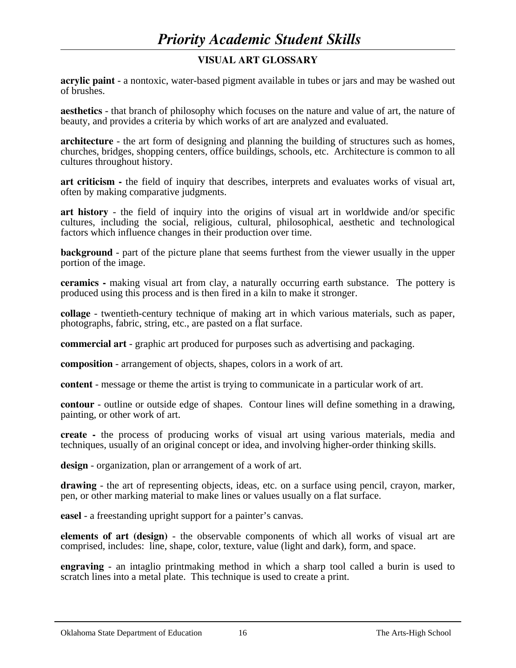# **VISUAL ART GLOSSARY**

**acrylic paint** - a nontoxic, water-based pigment available in tubes or jars and may be washed out of brushes.

**aesthetics** - that branch of philosophy which focuses on the nature and value of art, the nature of beauty, and provides a criteria by which works of art are analyzed and evaluated.

**architecture** - the art form of designing and planning the building of structures such as homes, churches, bridges, shopping centers, office buildings, schools, etc. Architecture is common to all cultures throughout history.

**art criticism -** the field of inquiry that describes, interprets and evaluates works of visual art, often by making comparative judgments.

**art history** - the field of inquiry into the origins of visual art in worldwide and/or specific cultures, including the social, religious, cultural, philosophical, aesthetic and technological factors which influence changes in their production over time.

**background** - part of the picture plane that seems furthest from the viewer usually in the upper portion of the image.

**ceramics -** making visual art from clay, a naturally occurring earth substance. The pottery is produced using this process and is then fired in a kiln to make it stronger.

**collage** - twentieth-century technique of making art in which various materials, such as paper, photographs, fabric, string, etc., are pasted on a flat surface.

**commercial art** - graphic art produced for purposes such as advertising and packaging.

**composition** - arrangement of objects, shapes, colors in a work of art.

**content** - message or theme the artist is trying to communicate in a particular work of art.

**contour** - outline or outside edge of shapes. Contour lines will define something in a drawing, painting, or other work of art.

**create -** the process of producing works of visual art using various materials, media and techniques, usually of an original concept or idea, and involving higher-order thinking skills.

**design** - organization, plan or arrangement of a work of art.

**drawing** - the art of representing objects, ideas, etc. on a surface using pencil, crayon, marker, pen, or other marking material to make lines or values usually on a flat surface.

**easel** - a freestanding upright support for a painter's canvas.

**elements of art (design)** - the observable components of which all works of visual art are comprised, includes: line, shape, color, texture, value (light and dark), form, and space.

**engraving** - an intaglio printmaking method in which a sharp tool called a burin is used to scratch lines into a metal plate. This technique is used to create a print.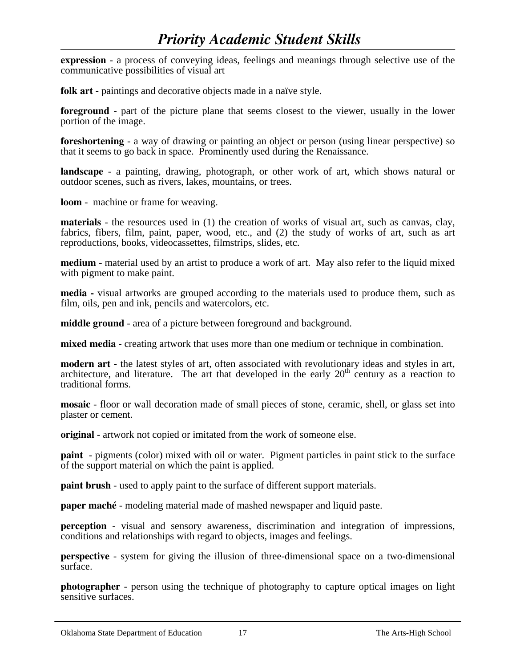**expression** - a process of conveying ideas, feelings and meanings through selective use of the communicative possibilities of visual art

**folk art** - paintings and decorative objects made in a naïve style.

**foreground** - part of the picture plane that seems closest to the viewer, usually in the lower portion of the image.

**foreshortening** - a way of drawing or painting an object or person (using linear perspective) so that it seems to go back in space. Prominently used during the Renaissance.

**landscape** - a painting, drawing, photograph, or other work of art, which shows natural or outdoor scenes, such as rivers, lakes, mountains, or trees.

**loom** - machine or frame for weaving.

**materials** - the resources used in (1) the creation of works of visual art, such as canvas, clay, fabrics, fibers, film, paint, paper, wood, etc., and (2) the study of works of art, such as art reproductions, books, videocassettes, filmstrips, slides, etc.

**medium** - material used by an artist to produce a work of art. May also refer to the liquid mixed with pigment to make paint.

**media -** visual artworks are grouped according to the materials used to produce them, such as film, oils, pen and ink, pencils and watercolors, etc.

**middle ground** - area of a picture between foreground and background.

**mixed media** - creating artwork that uses more than one medium or technique in combination.

**modern art** - the latest styles of art, often associated with revolutionary ideas and styles in art, architecture, and literature. The art that developed in the early  $20<sup>th</sup>$  century as a reaction to traditional forms.

**mosaic** - floor or wall decoration made of small pieces of stone, ceramic, shell, or glass set into plaster or cement.

**original** - artwork not copied or imitated from the work of someone else.

**paint** - pigments (color) mixed with oil or water. Pigment particles in paint stick to the surface of the support material on which the paint is applied.

**paint brush** - used to apply paint to the surface of different support materials.

**paper maché** - modeling material made of mashed newspaper and liquid paste.

**perception** - visual and sensory awareness, discrimination and integration of impressions, conditions and relationships with regard to objects, images and feelings.

**perspective** - system for giving the illusion of three-dimensional space on a two-dimensional surface.

**photographer** - person using the technique of photography to capture optical images on light sensitive surfaces.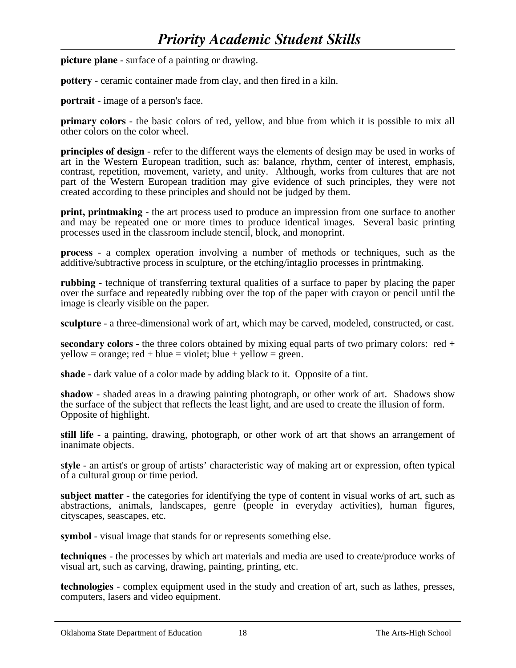**picture plane** - surface of a painting or drawing.

**pottery** - ceramic container made from clay, and then fired in a kiln.

**portrait** - image of a person's face.

**primary colors** - the basic colors of red, yellow, and blue from which it is possible to mix all other colors on the color wheel.

**principles of design** - refer to the different ways the elements of design may be used in works of art in the Western European tradition, such as: balance, rhythm, center of interest, emphasis, contrast, repetition, movement, variety, and unity. Although, works from cultures that are not part of the Western European tradition may give evidence of such principles, they were not created according to these principles and should not be judged by them.

**print, printmaking** - the art process used to produce an impression from one surface to another and may be repeated one or more times to produce identical images. Several basic printing processes used in the classroom include stencil, block, and monoprint.

**process** - a complex operation involving a number of methods or techniques, such as the additive/subtractive process in sculpture, or the etching/intaglio processes in printmaking.

**rubbing** - technique of transferring textural qualities of a surface to paper by placing the paper over the surface and repeatedly rubbing over the top of the paper with crayon or pencil until the image is clearly visible on the paper.

**sculpture** - a three-dimensional work of art, which may be carved, modeled, constructed, or cast.

**secondary colors** - the three colors obtained by mixing equal parts of two primary colors: red +  $yellow = orange$ ; red + blue = violet; blue + yellow = green.

**shade** - dark value of a color made by adding black to it. Opposite of a tint.

**shadow** - shaded areas in a drawing painting photograph, or other work of art. Shadows show the surface of the subject that reflects the least light, and are used to create the illusion of form. Opposite of highlight.

**still life** - a painting, drawing, photograph, or other work of art that shows an arrangement of inanimate objects.

s**tyle** - an artist's or group of artists' characteristic way of making art or expression, often typical of a cultural group or time period.

**subject matter** - the categories for identifying the type of content in visual works of art, such as abstractions, animals, landscapes, genre (people in everyday activities), human figures, cityscapes, seascapes, etc.

**symbol** - visual image that stands for or represents something else.

**techniques** - the processes by which art materials and media are used to create/produce works of visual art, such as carving, drawing, painting, printing, etc.

**technologies** - complex equipment used in the study and creation of art, such as lathes, presses, computers, lasers and video equipment.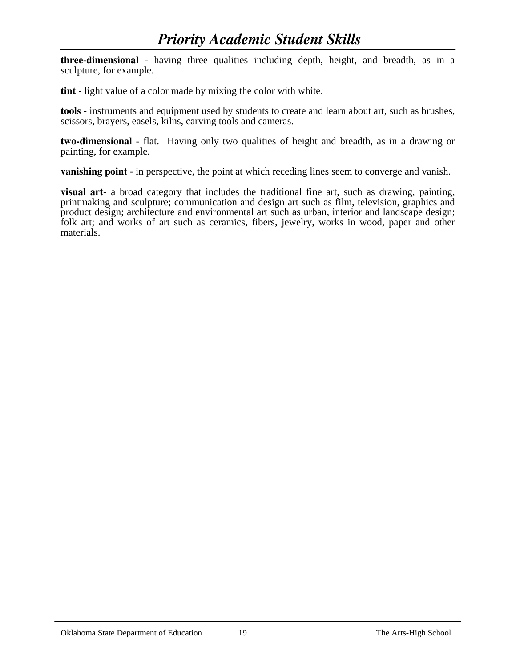**three-dimensional** - having three qualities including depth, height, and breadth, as in a sculpture, for example.

**tint** - light value of a color made by mixing the color with white.

**tools** - instruments and equipment used by students to create and learn about art, such as brushes, scissors, brayers, easels, kilns, carving tools and cameras.

**two-dimensional** - flat. Having only two qualities of height and breadth, as in a drawing or painting, for example.

**vanishing point** - in perspective, the point at which receding lines seem to converge and vanish.

**visual art**- a broad category that includes the traditional fine art, such as drawing, painting, printmaking and sculpture; communication and design art such as film, television, graphics and product design; architecture and environmental art such as urban, interior and landscape design; folk art; and works of art such as ceramics, fibers, jewelry, works in wood, paper and other materials.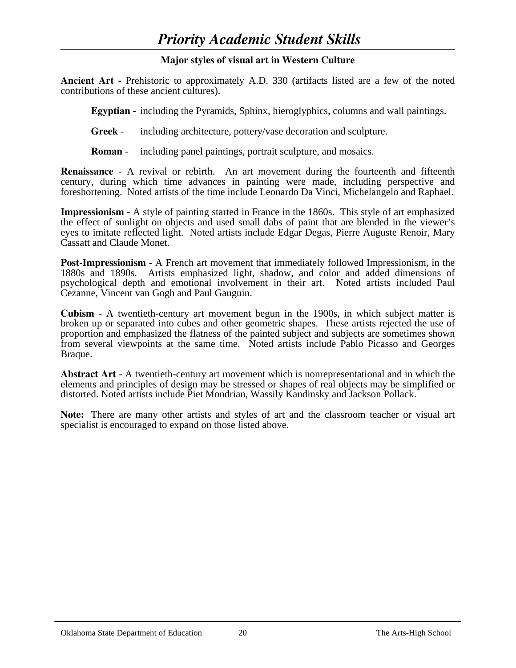# **Major styles of visual art in Western Culture**

**Ancient Art -** Prehistoric to approximately A.D. 330 (artifacts listed are a few of the noted contributions of these ancient cultures).

 **Egyptian** - including the Pyramids, Sphinx, hieroglyphics, columns and wall paintings.

 **Greek** - including architecture, pottery/vase decoration and sculpture.

**Roman** - including panel paintings, portrait sculpture, and mosaics.

**Renaissance** - A revival or rebirth. An art movement during the fourteenth and fifteenth century, during which time advances in painting were made, including perspective and foreshortening. Noted artists of the time include Leonardo Da Vinci, Michelangelo and Raphael.

**Impressionism** - A style of painting started in France in the 1860s. This style of art emphasized the effect of sunlight on objects and used small dabs of paint that are blended in the viewer's eyes to imitate reflected light. Noted artists include Edgar Degas, Pierre Auguste Renoir, Mary Cassatt and Claude Monet.

**Post-Impressionism** - A French art movement that immediately followed Impressionism, in the 1880s and 1890s. Artists emphasized light, shadow, and color and added dimensions of psychological depth and emotional involvement in their art. Noted artists included Paul Cezanne, Vincent van Gogh and Paul Gauguin.

**Cubism** - A twentieth-century art movement begun in the 1900s, in which subject matter is broken up or separated into cubes and other geometric shapes. These artists rejected the use of proportion and emphasized the flatness of the painted subject and subjects are sometimes shown from several viewpoints at the same time. Noted artists include Pablo Picasso and Georges Braque.

**Abstract Art** - A twentieth-century art movement which is nonrepresentational and in which the elements and principles of design may be stressed or shapes of real objects may be simplified or distorted. Noted artists include Piet Mondrian, Wassily Kandinsky and Jackson Pollack.

**Note:** There are many other artists and styles of art and the classroom teacher or visual art specialist is encouraged to expand on those listed above.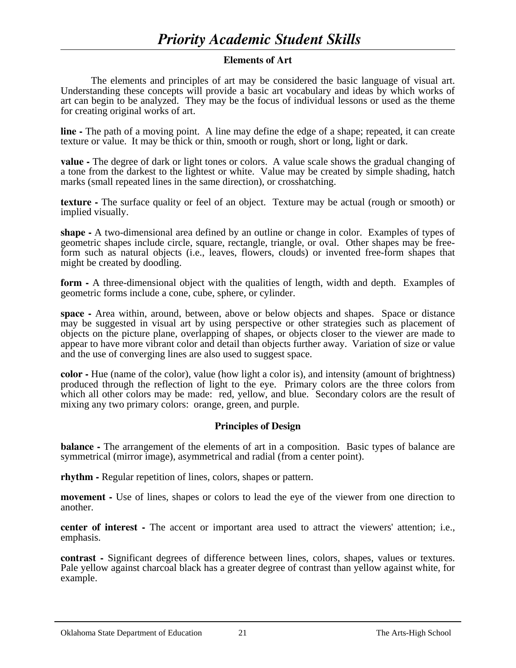## **Elements of Art**

The elements and principles of art may be considered the basic language of visual art. Understanding these concepts will provide a basic art vocabulary and ideas by which works of art can begin to be analyzed. They may be the focus of individual lessons or used as the theme for creating original works of art.

**line -** The path of a moving point. A line may define the edge of a shape; repeated, it can create texture or value. It may be thick or thin, smooth or rough, short or long, light or dark.

**value -** The degree of dark or light tones or colors. A value scale shows the gradual changing of a tone from the darkest to the lightest or white. Value may be created by simple shading, hatch marks (small repeated lines in the same direction), or crosshatching.

**texture -** The surface quality or feel of an object. Texture may be actual (rough or smooth) or implied visually.

**shape -** A two-dimensional area defined by an outline or change in color. Examples of types of geometric shapes include circle, square, rectangle, triangle, or oval. Other shapes may be freeform such as natural objects (i.e., leaves, flowers, clouds) or invented free-form shapes that might be created by doodling.

**form -** A three-dimensional object with the qualities of length, width and depth. Examples of geometric forms include a cone, cube, sphere, or cylinder.

**space -** Area within, around, between, above or below objects and shapes. Space or distance may be suggested in visual art by using perspective or other strategies such as placement of objects on the picture plane, overlapping of shapes, or objects closer to the viewer are made to appear to have more vibrant color and detail than objects further away. Variation of size or value and the use of converging lines are also used to suggest space.

**color -** Hue (name of the color), value (how light a color is), and intensity (amount of brightness) produced through the reflection of light to the eye. Primary colors are the three colors from which all other colors may be made: red, yellow, and blue. Secondary colors are the result of mixing any two primary colors: orange, green, and purple.

# **Principles of Design**

**balance -** The arrangement of the elements of art in a composition. Basic types of balance are symmetrical (mirror image), asymmetrical and radial (from a center point).

**rhythm -** Regular repetition of lines, colors, shapes or pattern.

**movement -** Use of lines, shapes or colors to lead the eye of the viewer from one direction to another.

**center of interest -** The accent or important area used to attract the viewers' attention; i.e., emphasis.

**contrast -** Significant degrees of difference between lines, colors, shapes, values or textures. Pale yellow against charcoal black has a greater degree of contrast than yellow against white, for example.